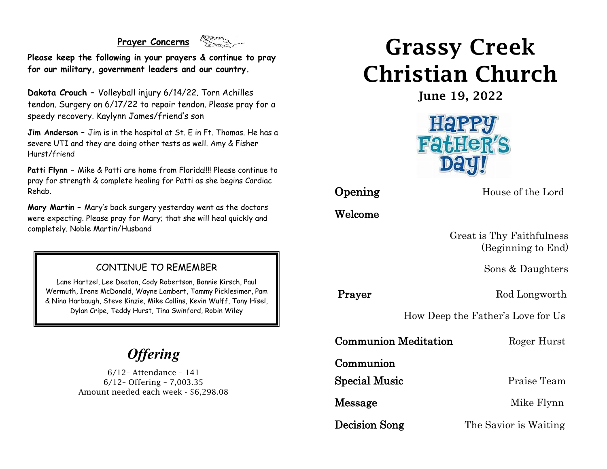#### **Prayer Concerns**



**Please keep the following in your prayers & continue to pray for our military, government leaders and our country.**

**Dakota Crouch –** Volleyball injury 6/14/22. Torn Achilles tendon. Surgery on 6/17/22 to repair tendon. Please pray for a speedy recovery. Kaylynn James/friend's son

**Jim Anderson –** Jim is in the hospital at St. E in Ft. Thomas. He has a severe UTI and they are doing other tests as well. Amy & Fisher Hurst/friend

**Patti Flynn –** Mike & Patti are home from Florida!!!! Please continue to pray for strength & complete healing for Patti as she begins Cardiac Rehab.

**Mary Martin –** Mary's back surgery yesterday went as the doctors were expecting. Please pray for Mary; that she will heal quickly and completely. Noble Martin/Husband

#### CONTINUE TO REMEMBER

Lane Hartzel, Lee Deaton, Cody Robertson, Bonnie Kirsch, Paul Wermuth, Irene McDonald, Wayne Lambert, Tammy Picklesimer, Pam & Nina Harbaugh, Steve Kinzie, Mike Collins, Kevin Wulff, Tony Hisel, Dylan Cripe, Teddy Hurst, Tina Swinford, Robin Wiley

## *Offering*

6/12– Attendance – 141 6/12– Offering – 7,003.35 Amount needed each week - \$6,298.08

# Grassy Creek Christian Church

June 19, 2022



**Opening** House of the Lord

Welcome

 Great is Thy Faithfulness (Beginning to End)

Sons & Daughters

**Prayer** Rod Longworth

How Deep the Father's Love for Us

Communion Meditation Roger Hurst

Communion

Special Music Praise Team

Message Mike Flynn

**Decision Song** The Savior is Waiting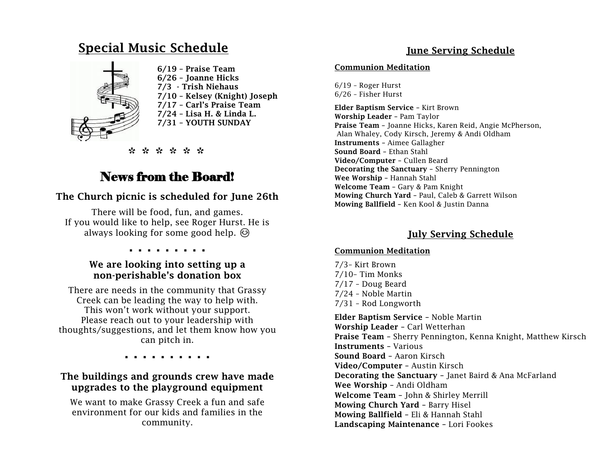#### Special Music Schedule Ĩ



 6/19 – Praise Team 6/26 – Joanne Hicks 7/3 - Trish Niehaus 7/10 – Kelsey (Knight) Joseph 7/17 – Carl's Praise Team 7/24 – Lisa H. & Linda L. 7/31 – YOUTH SUNDAY

\* \* \* \* \* \*

### News from the Board!

#### The Church picnic is scheduled for June 26th

There will be food, fun, and games. If you would like to help, see Roger Hurst. He is always looking for some good help.  $\odot$ 

. . . . . . . . .

#### We are looking into setting up a non-perishable's donation box

There are needs in the community that Grassy Creek can be leading the way to help with. This won't work without your support. Please reach out to your leadership with thoughts/suggestions, and let them know how you can pitch in.

. . . . . . . . . .

#### The buildings and grounds crew have made upgrades to the playground equipment

We want to make Grassy Creek a fun and safe environment for our kids and families in the community.

#### June Serving Schedule

#### Communion Meditation

6/19 – Roger Hurst 6/26 – Fisher Hurst

Elder Baptism Service – Kirt Brown Worship Leader – Pam Taylor Praise Team – Joanne Hicks, Karen Reid, Angie McPherson, Alan Whaley, Cody Kirsch, Jeremy & Andi Oldham Instruments – Aimee Gallagher Sound Board – Ethan Stahl Video/Computer – Cullen Beard Decorating the Sanctuary – Sherry Pennington Wee Worship – Hannah Stahl Welcome Team – Gary & Pam Knight Mowing Church Yard – Paul, Caleb & Garrett Wilson Mowing Ballfield – Ken Kool & Justin Danna

#### July Serving Schedule

#### Communion Meditation

7/3– Kirt Brown 7/10– Tim Monks 7/17 – Doug Beard 7/24 – Noble Martin 7/31 – Rod Longworth Elder Baptism Service – Noble Martin Worship Leader – Carl Wetterhan Praise Team – Sherry Pennington, Kenna Knight, Matthew Kirsch Instruments – Various Sound Board – Aaron Kirsch Video/Computer – Austin Kirsch Decorating the Sanctuary – Janet Baird & Ana McFarland Wee Worship – Andi Oldham Welcome Team – John & Shirley Merrill Mowing Church Yard – Barry Hisel Mowing Ballfield – Eli & Hannah Stahl Landscaping Maintenance – Lori Fookes